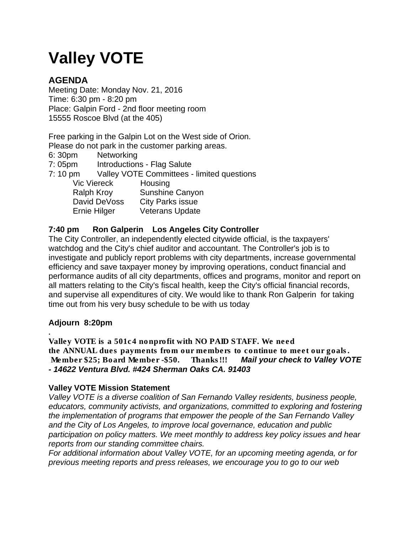# **Valley VOTE**

# **AGENDA**

Meeting Date: Monday Nov. 21, 2016 Time: 6:30 pm - 8:20 pm Place: Galpin Ford - 2nd floor meeting room 15555 Roscoe Blvd (at the 405)

Free parking in the Galpin Lot on the West side of Orion. Please do not park in the customer parking areas.

6: 30pm Networking

7: 05pm Introductions - Flag Salute

7: 10 pm Valley VOTE Committees - limited questions

| <b>Vic Viereck</b>  | Housing                 |
|---------------------|-------------------------|
| <b>Ralph Kroy</b>   | Sunshine Canyon         |
| David DeVoss        | <b>City Parks issue</b> |
| <b>Ernie Hilger</b> | <b>Veterans Update</b>  |

## **7:40 pm Ron Galperin Los Angeles City Controller**

The City Controller, an independently elected citywide official, is the taxpayers' watchdog and the City's chief auditor and accountant. The Controller's job is to investigate and publicly report problems with city departments, increase governmental efficiency and save taxpayer money by improving operations, conduct financial and performance audits of all city departments, offices and programs, monitor and report on all matters relating to the City's fiscal health, keep the City's official financial records, and supervise all expenditures of city. We would like to thank Ron Galperin for taking time out from his very busy schedule to be with us today

### **Adjourn 8:20pm**

**.** *Valley VOTE is a 501c4 nonprofit with NO PAID STAFF. We need the ANNUAL dues payments from our members to continue to meet our goals. Member \$25; Board Member -\$50. Thanks!!! Mail your check to Valley VOTE - 14622 Ventura Blvd. #424 Sherman Oaks CA. 91403* 

### **Valley VOTE Mission Statement**

*Valley VOTE is a diverse coalition of San Fernando Valley residents, business people, educators, community activists, and organizations, committed to exploring and fostering the implementation of programs that empower the people of the San Fernando Valley and the City of Los Angeles, to improve local governance, education and public participation on policy matters. We meet monthly to address key policy issues and hear reports from our standing committee chairs.*

*For additional information about Valley VOTE, for an upcoming meeting agenda, or for previous meeting reports and press releases, we encourage you to go to our web*